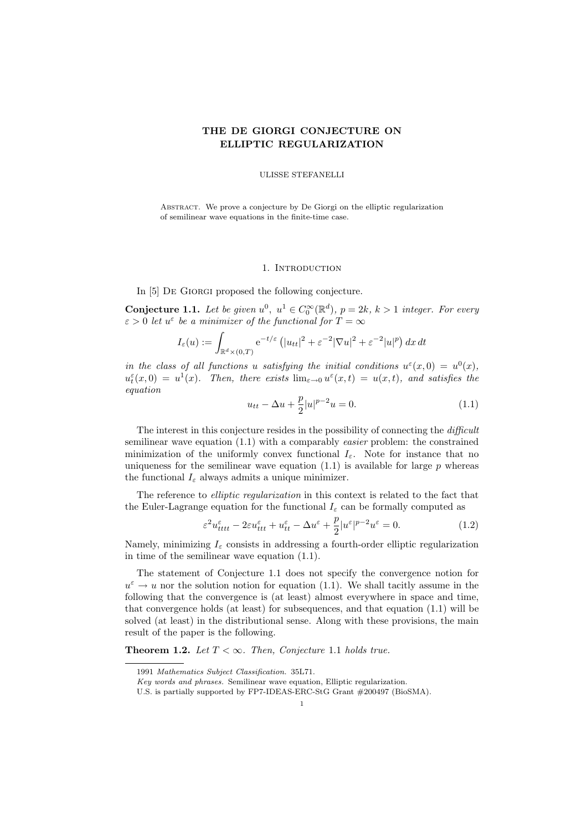# THE DE GIORGI CONJECTURE ON ELLIPTIC REGULARIZATION

#### ULISSE STEFANELLI

Abstract. We prove a conjecture by De Giorgi on the elliptic regularization of semilinear wave equations in the finite-time case.

### 1. INTRODUCTION

In [5] DE GIORGI proposed the following conjecture.

**Conjecture 1.1.** Let be given  $u^0$ ,  $u^1 \in C_0^{\infty}(\mathbb{R}^d)$ ,  $p = 2k$ ,  $k > 1$  integer. For every  $\varepsilon > 0$  let  $u^{\varepsilon}$  be a minimizer of the functional for  $T = \infty$ 

$$
I_{\varepsilon}(u) := \int_{\mathbb{R}^{d} \times (0,T)} e^{-t/\varepsilon} \left( |u_{tt}|^2 + \varepsilon^{-2} |\nabla u|^2 + \varepsilon^{-2} |u|^p \right) dx dt
$$

in the class of all functions u satisfying the initial conditions  $u^{\varepsilon}(x,0) = u^{0}(x)$ ,  $u_t^{\varepsilon}(x,0) = u^1(x)$ . Then, there exists  $\lim_{\varepsilon \to 0} u^{\varepsilon}(x,t) = u(x,t)$ , and satisfies the equation

$$
u_{tt} - \Delta u + \frac{p}{2}|u|^{p-2}u = 0.
$$
 (1.1)

The interest in this conjecture resides in the possibility of connecting the difficult semilinear wave equation (1.1) with a comparably easier problem: the constrained minimization of the uniformly convex functional  $I_{\varepsilon}$ . Note for instance that no uniqueness for the semilinear wave equation  $(1.1)$  is available for large p whereas the functional  $I_{\varepsilon}$  always admits a unique minimizer.

The reference to elliptic regularization in this context is related to the fact that the Euler-Lagrange equation for the functional  $I_{\varepsilon}$  can be formally computed as

$$
\varepsilon^2 u_{tttt}^{\varepsilon} - 2\varepsilon u_{ttt}^{\varepsilon} + u_{tt}^{\varepsilon} - \Delta u^{\varepsilon} + \frac{p}{2} |u^{\varepsilon}|^{p-2} u^{\varepsilon} = 0.
$$
 (1.2)

Namely, minimizing  $I_{\varepsilon}$  consists in addressing a fourth-order elliptic regularization in time of the semilinear wave equation (1.1).

The statement of Conjecture 1.1 does not specify the convergence notion for  $u^{\varepsilon} \to u$  nor the solution notion for equation (1.1). We shall tacitly assume in the following that the convergence is (at least) almost everywhere in space and time, that convergence holds (at least) for subsequences, and that equation (1.1) will be solved (at least) in the distributional sense. Along with these provisions, the main result of the paper is the following.

**Theorem 1.2.** Let  $T < \infty$ . Then, Conjecture 1.1 holds true.

Key words and phrases. Semilinear wave equation, Elliptic regularization.

<sup>1991</sup> Mathematics Subject Classification. 35L71.

U.S. is partially supported by FP7-IDEAS-ERC-StG Grant #200497 (BioSMA).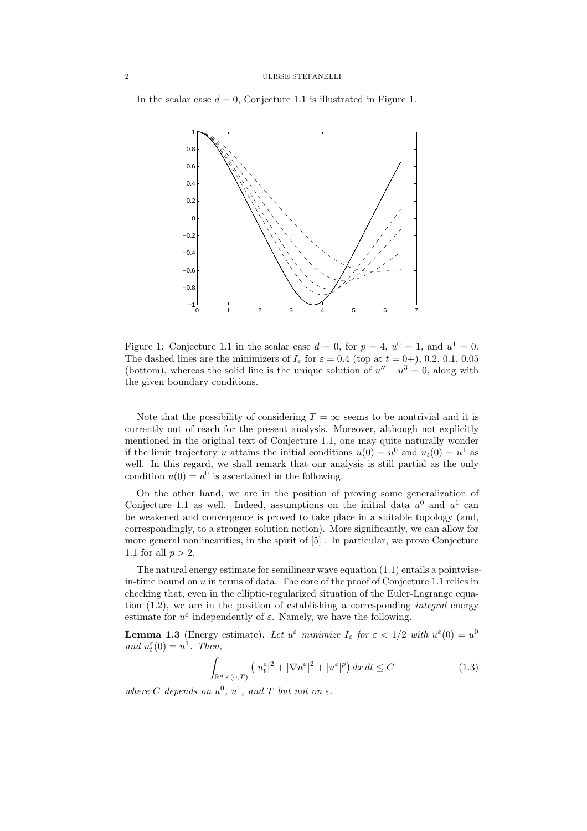In the scalar case  $d = 0$ , Conjecture 1.1 is illustrated in Figure 1.



Figure 1: Conjecture 1.1 in the scalar case  $d = 0$ , for  $p = 4$ ,  $u^0 = 1$ , and  $u^1 = 0$ . The dashed lines are the minimizers of  $I_{\varepsilon}$  for  $\varepsilon = 0.4$  (top at  $t = 0+$ ), 0.2, 0.1, 0.05 (bottom), whereas the solid line is the unique solution of  $u'' + u^3 = 0$ , along with the given boundary conditions.

Note that the possibility of considering  $T = \infty$  seems to be nontrivial and it is currently out of reach for the present analysis. Moreover, although not explicitly mentioned in the original text of Conjecture 1.1, one may quite naturally wonder if the limit trajectory u attains the initial conditions  $u(0) = u^0$  and  $u_t(0) = u^1$  as well. In this regard, we shall remark that our analysis is still partial as the only condition  $u(0) = u^0$  is ascertained in the following.

On the other hand, we are in the position of proving some generalization of Conjecture 1.1 as well. Indeed, assumptions on the initial data  $u^0$  and  $u^1$  can be weakened and convergence is proved to take place in a suitable topology (and, correspondingly, to a stronger solution notion). More significantly, we can allow for more general nonlinearities, in the spirit of [5] . In particular, we prove Conjecture 1.1 for all  $p > 2$ .

The natural energy estimate for semilinear wave equation (1.1) entails a pointwisein-time bound on  $u$  in terms of data. The core of the proof of Conjecture 1.1 relies in checking that, even in the elliptic-regularized situation of the Euler-Lagrange equation  $(1.2)$ , we are in the position of establishing a corresponding *integral* energy estimate for  $u^{\varepsilon}$  independently of  $\varepsilon$ . Namely, we have the following.

**Lemma 1.3** (Energy estimate). Let  $u^{\varepsilon}$  minimize  $I_{\varepsilon}$  for  $\varepsilon < 1/2$  with  $u^{\varepsilon}(0) = u^0$ and  $u_t^{\varepsilon}(0) = u^1$ . Then,

$$
\int_{\mathbb{R}^d \times (0,T)} \left( |u_t^{\varepsilon}|^2 + |\nabla u^{\varepsilon}|^2 + |u^{\varepsilon}|^p \right) dx dt \le C \tag{1.3}
$$

where C depends on  $u^0$ ,  $u^1$ , and T but not on  $\varepsilon$ .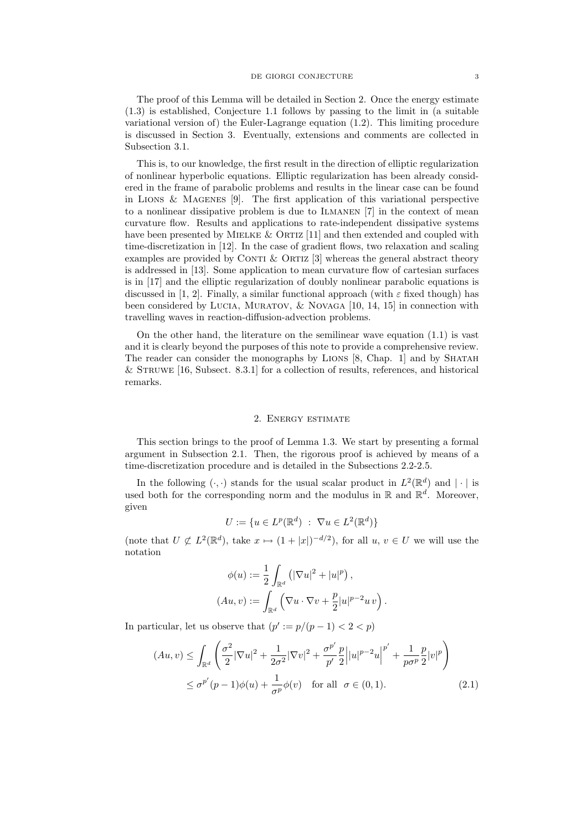The proof of this Lemma will be detailed in Section 2. Once the energy estimate (1.3) is established, Conjecture 1.1 follows by passing to the limit in (a suitable variational version of) the Euler-Lagrange equation (1.2). This limiting procedure is discussed in Section 3. Eventually, extensions and comments are collected in Subsection 3.1.

This is, to our knowledge, the first result in the direction of elliptic regularization of nonlinear hyperbolic equations. Elliptic regularization has been already considered in the frame of parabolic problems and results in the linear case can be found in Lions & Magenes [9]. The first application of this variational perspective to a nonlinear dissipative problem is due to Ilmanen [7] in the context of mean curvature flow. Results and applications to rate-independent dissipative systems have been presented by MIELKE  $&$  ORTIZ [11] and then extended and coupled with time-discretization in [12]. In the case of gradient flows, two relaxation and scaling examples are provided by CONTI  $&$  ORTIZ [3] whereas the general abstract theory is addressed in [13]. Some application to mean curvature flow of cartesian surfaces is in [17] and the elliptic regularization of doubly nonlinear parabolic equations is discussed in [1, 2]. Finally, a similar functional approach (with  $\varepsilon$  fixed though) has been considered by LUCIA, MURATOV,  $&$  NOVAGA [10, 14, 15] in connection with travelling waves in reaction-diffusion-advection problems.

On the other hand, the literature on the semilinear wave equation (1.1) is vast and it is clearly beyond the purposes of this note to provide a comprehensive review. The reader can consider the monographs by LIONS [8, Chap. 1] and by SHATAH  $&$  STRUWE [16, Subsect. 8.3.1] for a collection of results, references, and historical remarks.

# 2. Energy estimate

This section brings to the proof of Lemma 1.3. We start by presenting a formal argument in Subsection 2.1. Then, the rigorous proof is achieved by means of a time-discretization procedure and is detailed in the Subsections 2.2-2.5.

In the following  $(\cdot, \cdot)$  stands for the usual scalar product in  $L^2(\mathbb{R}^d)$  and  $|\cdot|$  is used both for the corresponding norm and the modulus in  $\mathbb{R}$  and  $\mathbb{R}^d$ . Moreover, given

$$
U := \{ u \in L^p(\mathbb{R}^d) : \nabla u \in L^2(\mathbb{R}^d) \}
$$

(note that  $U \not\subset L^2(\mathbb{R}^d)$ , take  $x \mapsto (1+|x|)^{-d/2}$ ), for all  $u, v \in U$  we will use the notation

$$
\phi(u) := \frac{1}{2} \int_{\mathbb{R}^d} \left( |\nabla u|^2 + |u|^p \right),
$$
  

$$
(Au, v) := \int_{\mathbb{R}^d} \left( \nabla u \cdot \nabla v + \frac{p}{2} |u|^{p-2} u v \right).
$$

In particular, let us observe that  $(p' := p/(p-1) < 2 < p)$ 

$$
(Au, v) \leq \int_{\mathbb{R}^d} \left( \frac{\sigma^2}{2} |\nabla u|^2 + \frac{1}{2\sigma^2} |\nabla v|^2 + \frac{\sigma^{p'}}{p'} \frac{p}{2} ||u|^{p-2} u \Big|^{p'} + \frac{1}{p\sigma^p} \frac{p}{2} |v|^p \right)
$$
  

$$
\leq \sigma^{p'}(p-1)\phi(u) + \frac{1}{\sigma^p} \phi(v) \quad \text{for all} \quad \sigma \in (0, 1).
$$
 (2.1)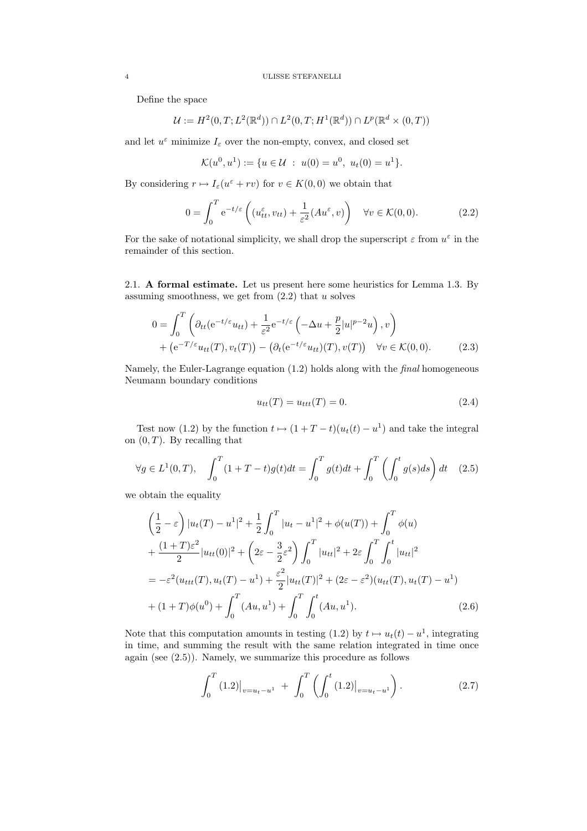Define the space

$$
\mathcal{U}:=H^2(0,T;L^2(\mathbb{R}^d))\cap L^2(0,T;H^1(\mathbb{R}^d))\cap L^p(\mathbb{R}^d\times (0,T))
$$

and let  $u^{\varepsilon}$  minimize  $I_{\varepsilon}$  over the non-empty, convex, and closed set

$$
\mathcal{K}(u^0, u^1) := \{ u \in \mathcal{U} \ : \ u(0) = u^0, \ u_t(0) = u^1 \}.
$$

By considering  $r \mapsto I_{\varepsilon}(u^{\varepsilon} + rv)$  for  $v \in K(0,0)$  we obtain that

$$
0 = \int_0^T e^{-t/\varepsilon} \left( (u_{tt}^{\varepsilon}, v_{tt}) + \frac{1}{\varepsilon^2} (Au^{\varepsilon}, v) \right) \quad \forall v \in \mathcal{K}(0, 0).
$$
 (2.2)

For the sake of notational simplicity, we shall drop the superscript  $\varepsilon$  from  $u^{\varepsilon}$  in the remainder of this section.

2.1. A formal estimate. Let us present here some heuristics for Lemma 1.3. By assuming smoothness, we get from  $(2.2)$  that u solves

$$
0 = \int_0^T \left( \partial_{tt} (e^{-t/\varepsilon} u_{tt}) + \frac{1}{\varepsilon^2} e^{-t/\varepsilon} \left( -\Delta u + \frac{p}{2} |u|^{p-2} u \right), v \right) + \left( e^{-T/\varepsilon} u_{tt}(T), v_t(T) \right) - \left( \partial_t (e^{-t/\varepsilon} u_{tt})(T), v(T) \right) \quad \forall v \in \mathcal{K}(0, 0).
$$
 (2.3)

Namely, the Euler-Lagrange equation (1.2) holds along with the final homogeneous Neumann boundary conditions

$$
u_{tt}(T) = u_{ttt}(T) = 0.
$$
\n(2.4)

Test now (1.2) by the function  $t \mapsto (1 + T - t)(u_t(t) - u^1)$  and take the integral on  $(0,T)$ . By recalling that

$$
\forall g \in L^{1}(0, T), \quad \int_{0}^{T} (1 + T - t)g(t)dt = \int_{0}^{T} g(t)dt + \int_{0}^{T} \left( \int_{0}^{t} g(s)ds \right)dt \quad (2.5)
$$

we obtain the equality

$$
\left(\frac{1}{2} - \varepsilon\right) |u_t(T) - u^1|^2 + \frac{1}{2} \int_0^T |u_t - u^1|^2 + \phi(u(T)) + \int_0^T \phi(u)
$$
  
+ 
$$
\frac{(1+T)\varepsilon^2}{2} |u_{tt}(0)|^2 + \left(2\varepsilon - \frac{3}{2}\varepsilon^2\right) \int_0^T |u_{tt}|^2 + 2\varepsilon \int_0^T \int_0^t |u_{tt}|^2
$$
  
= 
$$
-\varepsilon^2 (u_{ttt}(T), u_t(T) - u^1) + \frac{\varepsilon^2}{2} |u_{tt}(T)|^2 + (2\varepsilon - \varepsilon^2) (u_{tt}(T), u_t(T) - u^1)
$$
  
+ 
$$
(1+T)\phi(u^0) + \int_0^T (Au, u^1) + \int_0^T \int_0^t (Au, u^1).
$$
 (2.6)

Note that this computation amounts in testing (1.2) by  $t \mapsto u_t(t) - u^1$ , integrating in time, and summing the result with the same relation integrated in time once again (see (2.5)). Namely, we summarize this procedure as follows

$$
\int_0^T (1.2)|_{v=u_t-u^1} + \int_0^T \left( \int_0^t (1.2)|_{v=u_t-u^1} \right). \tag{2.7}
$$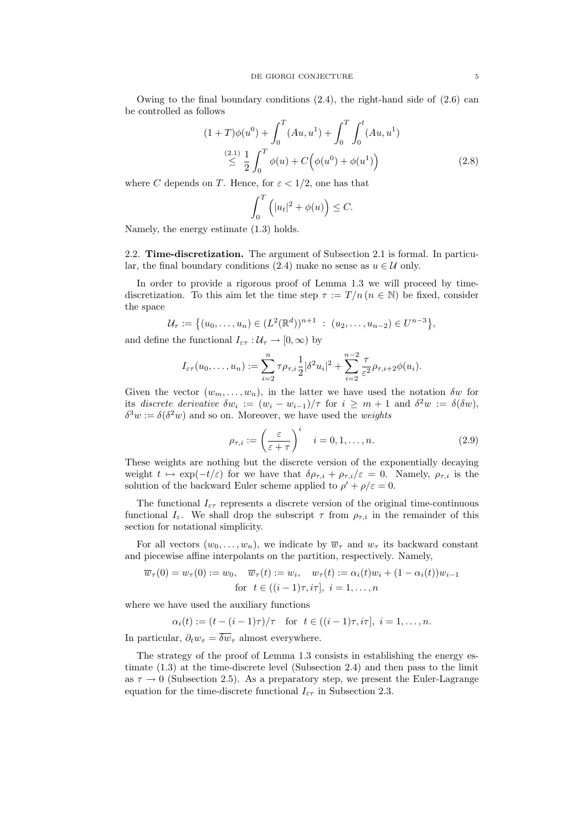Owing to the final boundary conditions (2.4), the right-hand side of (2.6) can be controlled as follows

$$
(1+T)\phi(u^{0}) + \int_{0}^{T} (Au, u^{1}) + \int_{0}^{T} \int_{0}^{t} (Au, u^{1})
$$
  

$$
\stackrel{(2.1)}{\leq} \frac{1}{2} \int_{0}^{T} \phi(u) + C(\phi(u^{0}) + \phi(u^{1}))
$$
 (2.8)

where C depends on T. Hence, for  $\varepsilon < 1/2$ , one has that

$$
\int_0^T \left( |u_t|^2 + \phi(u) \right) \le C.
$$

Namely, the energy estimate (1.3) holds.

2.2. Time-discretization. The argument of Subsection 2.1 is formal. In particular, the final boundary conditions (2.4) make no sense as  $u \in \mathcal{U}$  only.

In order to provide a rigorous proof of Lemma 1.3 we will proceed by timediscretization. To this aim let the time step  $\tau := T/n$  ( $n \in \mathbb{N}$ ) be fixed, consider the space

$$
\mathcal{U}_{\tau} := \big\{ (u_0, \ldots, u_n) \in (L^2(\mathbb{R}^d))^{n+1} \; : \; (u_2, \ldots, u_{n-2}) \in U^{n-3} \big\},
$$

and define the functional  $I_{\varepsilon\tau} : \mathcal{U}_{\tau} \to [0, \infty)$  by

$$
I_{\varepsilon\tau}(u_0,\ldots,u_n):=\sum_{i=2}^n\tau\rho_{\tau,i}\frac{1}{2}|\delta^2 u_i|^2+\sum_{i=2}^{n-2}\frac{\tau}{\varepsilon^2}\rho_{\tau,i+2}\phi(u_i).
$$

Given the vector  $(w_m, \ldots, w_n)$ , in the latter we have used the notation  $\delta w$  for its discrete derivative  $\delta w_i := (w_i - w_{i-1})/\tau$  for  $i \geq m+1$  and  $\delta^2 w := \delta(\delta w)$ ,  $\delta^3 w := \delta(\delta^2 w)$  and so on. Moreover, we have used the *weights* 

$$
\rho_{\tau,i} := \left(\frac{\varepsilon}{\varepsilon + \tau}\right)^i \quad i = 0, 1, \dots, n. \tag{2.9}
$$

These weights are nothing but the discrete version of the exponentially decaying weight  $t \mapsto \exp(-t/\varepsilon)$  for we have that  $\delta \rho_{\tau,i} + \rho_{\tau,i}/\varepsilon = 0$ . Namely,  $\rho_{\tau,i}$  is the solution of the backward Euler scheme applied to  $\rho' + \rho/\varepsilon = 0$ .

The functional  $I_{\varepsilon\tau}$  represents a discrete version of the original time-continuous functional  $I_{\varepsilon}$ . We shall drop the subscript  $\tau$  from  $\rho_{\tau,i}$  in the remainder of this section for notational simplicity.

For all vectors  $(w_0,\ldots,w_n)$ , we indicate by  $\overline{w}_{\tau}$  and  $w_{\tau}$  its backward constant and piecewise affine interpolants on the partition, respectively. Namely,

$$
\overline{w}_{\tau}(0) = w_{\tau}(0) := w_0, \quad \overline{w}_{\tau}(t) := w_i, \quad w_{\tau}(t) := \alpha_i(t)w_i + (1 - \alpha_i(t))w_{i-1}
$$
  
for  $t \in ((i - 1)\tau, i\tau], i = 1, ..., n$ 

where we have used the auxiliary functions

$$
\alpha_i(t) := (t - (i - 1)\tau)/\tau
$$
 for  $t \in ((i - 1)\tau, i\tau], i = 1, ..., n$ .

In particular,  $\partial_t w_\tau = \overline{\delta w}_\tau$  almost everywhere.

The strategy of the proof of Lemma 1.3 consists in establishing the energy estimate (1.3) at the time-discrete level (Subsection 2.4) and then pass to the limit as  $\tau \to 0$  (Subsection 2.5). As a preparatory step, we present the Euler-Lagrange equation for the time-discrete functional  $I_{\varepsilon\tau}$  in Subsection 2.3.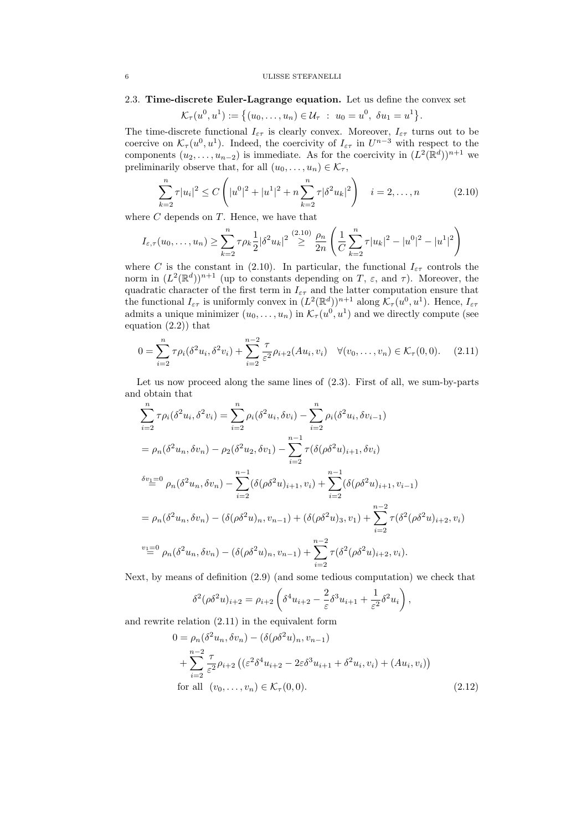# 2.3. Time-discrete Euler-Lagrange equation. Let us define the convex set

$$
\mathcal{K}_{\tau}(u^0, u^1) := \{(u_0, \ldots, u_n) \in \mathcal{U}_{\tau} : u_0 = u^0, \ \delta u_1 = u^1\}.
$$

The time-discrete functional  $I_{\varepsilon\tau}$  is clearly convex. Moreover,  $I_{\varepsilon\tau}$  turns out to be coercive on  $\mathcal{K}_{\tau}(u^0, u^1)$ . Indeed, the coercivity of  $I_{\varepsilon\tau}$  in  $U^{n-3}$  with respect to the components  $(u_2, \ldots, u_{n-2})$  is immediate. As for the coercivity in  $(L^2(\mathbb{R}^d))^{n+1}$  we preliminarily observe that, for all  $(u_0, \ldots, u_n) \in \mathcal{K}_{\tau}$ ,

$$
\sum_{k=2}^{n} \tau |u_i|^2 \le C \left( |u^0|^2 + |u^1|^2 + n \sum_{k=2}^{n} \tau |\delta^2 u_k|^2 \right) \quad i = 2, \dots, n \tag{2.10}
$$

where  $C$  depends on  $T$ . Hence, we have that

$$
I_{\varepsilon,\tau}(u_0,\ldots,u_n) \geq \sum_{k=2}^n \tau \rho_k \frac{1}{2} |\delta^2 u_k|^2 \stackrel{(2.10)}{\geq} \frac{\rho_n}{2n} \left( \frac{1}{C} \sum_{k=2}^n \tau |u_k|^2 - |u^0|^2 - |u^1|^2 \right)
$$

where C is the constant in (2.10). In particular, the functional  $I_{\varepsilon\tau}$  controls the norm in  $(L^2(\mathbb{R}^d))^{n+1}$  (up to constants depending on T,  $\varepsilon$ , and  $\tau$ ). Moreover, the quadratic character of the first term in  $I_{\varepsilon\tau}$  and the latter computation ensure that the functional  $I_{\varepsilon\tau}$  is uniformly convex in  $(L^2(\mathbb{R}^d))^{n+1}$  along  $\mathcal{K}_\tau(u^0, u^1)$ . Hence,  $I_{\varepsilon\tau}$ admits a unique minimizer  $(u_0, \ldots, u_n)$  in  $\mathcal{K}_{\tau}(u^0, u^1)$  and we directly compute (see equation  $(2.2)$  that

$$
0 = \sum_{i=2}^{n} \tau \rho_i(\delta^2 u_i, \delta^2 v_i) + \sum_{i=2}^{n-2} \frac{\tau}{\varepsilon^2} \rho_{i+2}(Au_i, v_i) \quad \forall (v_0, \dots, v_n) \in \mathcal{K}_{\tau}(0, 0). \tag{2.11}
$$

Let us now proceed along the same lines of (2.3). First of all, we sum-by-parts and obtain that

$$
\sum_{i=2}^{n} \tau \rho_i (\delta^2 u_i, \delta^2 v_i) = \sum_{i=2}^{n} \rho_i (\delta^2 u_i, \delta v_i) - \sum_{i=2}^{n} \rho_i (\delta^2 u_i, \delta v_{i-1})
$$
  
\n
$$
= \rho_n (\delta^2 u_n, \delta v_n) - \rho_2 (\delta^2 u_2, \delta v_1) - \sum_{i=2}^{n-1} \tau (\delta (\rho \delta^2 u)_{i+1}, \delta v_i)
$$
  
\n
$$
\delta v_{\underline{1}} = 0 \rho_n (\delta^2 u_n, \delta v_n) - \sum_{i=2}^{n-1} (\delta (\rho \delta^2 u)_{i+1}, v_i) + \sum_{i=2}^{n-1} (\delta (\rho \delta^2 u)_{i+1}, v_{i-1})
$$
  
\n
$$
= \rho_n (\delta^2 u_n, \delta v_n) - (\delta (\rho \delta^2 u)_n, v_{n-1}) + (\delta (\rho \delta^2 u)_3, v_1) + \sum_{i=2}^{n-2} \tau (\delta^2 (\rho \delta^2 u)_{i+2}, v_i)
$$
  
\n
$$
\sum_{i=2}^{n} \rho_n (\delta^2 u_n, \delta v_n) - (\delta (\rho \delta^2 u)_n, v_{n-1}) + \sum_{i=2}^{n-2} \tau (\delta^2 (\rho \delta^2 u)_{i+2}, v_i).
$$

Next, by means of definition (2.9) (and some tedious computation) we check that

$$
\delta^2(\rho \delta^2 u)_{i+2} = \rho_{i+2} \left( \delta^4 u_{i+2} - \frac{2}{\varepsilon} \delta^3 u_{i+1} + \frac{1}{\varepsilon^2} \delta^2 u_i \right),
$$

and rewrite relation (2.11) in the equivalent form

$$
0 = \rho_n(\delta^2 u_n, \delta v_n) - (\delta(\rho \delta^2 u)_n, v_{n-1})
$$
  
+ 
$$
\sum_{i=2}^{n-2} \frac{\tau}{\varepsilon^2} \rho_{i+2} ((\varepsilon^2 \delta^4 u_{i+2} - 2\varepsilon \delta^3 u_{i+1} + \delta^2 u_i, v_i) + (Au_i, v_i))
$$
  
for all  $(v_0, \ldots, v_n) \in \mathcal{K}_\tau(0, 0).$  (2.12)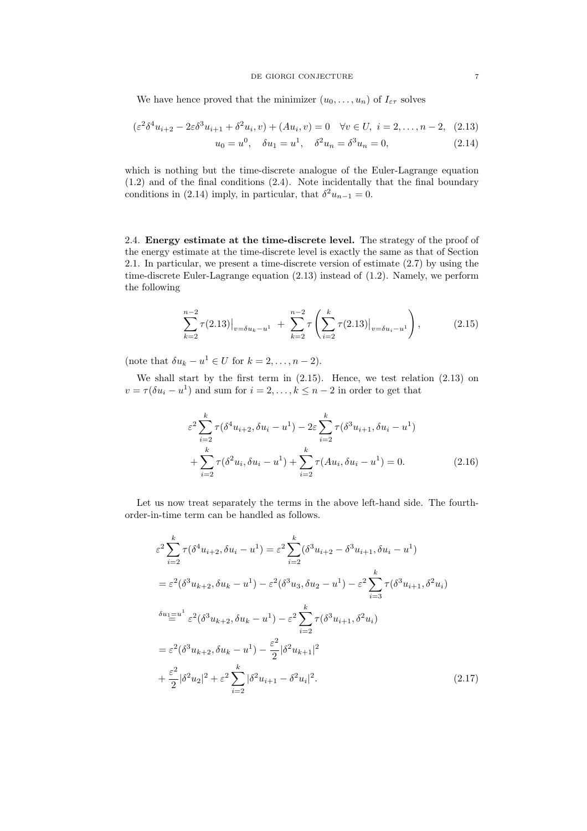### DE GIORGI CONJECTURE 7

We have hence proved that the minimizer  $(u_0, \ldots, u_n)$  of  $I_{\varepsilon\tau}$  solves

$$
(\varepsilon^2 \delta^4 u_{i+2} - 2\varepsilon \delta^3 u_{i+1} + \delta^2 u_i, v) + (Au_i, v) = 0 \quad \forall v \in U, \ i = 2, ..., n-2, \quad (2.13)
$$

$$
u_0 = u^0, \quad \delta u_1 = u^1, \quad \delta^2 u_n = \delta^3 u_n = 0, \quad (2.14)
$$

which is nothing but the time-discrete analogue of the Euler-Lagrange equation (1.2) and of the final conditions (2.4). Note incidentally that the final boundary conditions in (2.14) imply, in particular, that  $\delta^2 u_{n-1} = 0$ .

2.4. Energy estimate at the time-discrete level. The strategy of the proof of the energy estimate at the time-discrete level is exactly the same as that of Section 2.1. In particular, we present a time-discrete version of estimate (2.7) by using the time-discrete Euler-Lagrange equation (2.13) instead of (1.2). Namely, we perform the following

$$
\sum_{k=2}^{n-2} \tau(2.13)|_{v=\delta u_k-u^1} + \sum_{k=2}^{n-2} \tau \left( \sum_{i=2}^k \tau(2.13)|_{v=\delta u_i-u^1} \right), \tag{2.15}
$$

(note that  $\delta u_k - u^1 \in U$  for  $k = 2, \ldots, n - 2$ ).

We shall start by the first term in (2.15). Hence, we test relation (2.13) on  $v = \tau(\delta u_i - u^1)$  and sum for  $i = 2, \dots, k \leq n-2$  in order to get that

$$
\varepsilon^2 \sum_{i=2}^k \tau(\delta^4 u_{i+2}, \delta u_i - u^1) - 2\varepsilon \sum_{i=2}^k \tau(\delta^3 u_{i+1}, \delta u_i - u^1) + \sum_{i=2}^k \tau(\delta^2 u_i, \delta u_i - u^1) + \sum_{i=2}^k \tau(Au_i, \delta u_i - u^1) = 0.
$$
 (2.16)

Let us now treat separately the terms in the above left-hand side. The fourthorder-in-time term can be handled as follows.

$$
\varepsilon^{2} \sum_{i=2}^{k} \tau(\delta^{4} u_{i+2}, \delta u_{i} - u^{1}) = \varepsilon^{2} \sum_{i=2}^{k} (\delta^{3} u_{i+2} - \delta^{3} u_{i+1}, \delta u_{i} - u^{1})
$$
  
\n
$$
= \varepsilon^{2} (\delta^{3} u_{k+2}, \delta u_{k} - u^{1}) - \varepsilon^{2} (\delta^{3} u_{3}, \delta u_{2} - u^{1}) - \varepsilon^{2} \sum_{i=3}^{k} \tau(\delta^{3} u_{i+1}, \delta^{2} u_{i})
$$
  
\n
$$
\delta u_{\frac{1}{2}} u^{\frac{1}{2}} \varepsilon^{2} (\delta^{3} u_{k+2}, \delta u_{k} - u^{1}) - \varepsilon^{2} \sum_{i=2}^{k} \tau(\delta^{3} u_{i+1}, \delta^{2} u_{i})
$$
  
\n
$$
= \varepsilon^{2} (\delta^{3} u_{k+2}, \delta u_{k} - u^{1}) - \frac{\varepsilon^{2}}{2} |\delta^{2} u_{k+1}|^{2}
$$
  
\n
$$
+ \frac{\varepsilon^{2}}{2} |\delta^{2} u_{2}|^{2} + \varepsilon^{2} \sum_{i=2}^{k} |\delta^{2} u_{i+1} - \delta^{2} u_{i}|^{2}.
$$
 (2.17)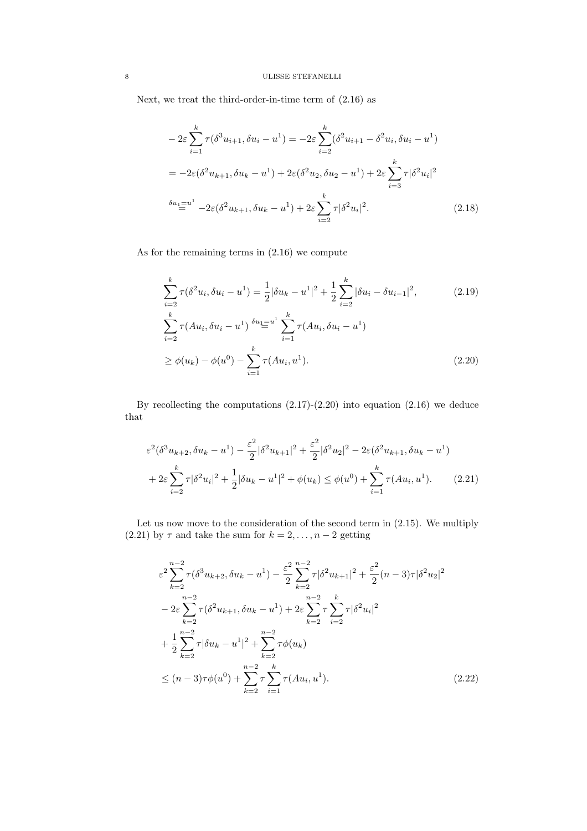Next, we treat the third-order-in-time term of (2.16) as

$$
-2\varepsilon \sum_{i=1}^{k} \tau(\delta^3 u_{i+1}, \delta u_i - u^1) = -2\varepsilon \sum_{i=2}^{k} (\delta^2 u_{i+1} - \delta^2 u_i, \delta u_i - u^1)
$$
  

$$
= -2\varepsilon (\delta^2 u_{k+1}, \delta u_k - u^1) + 2\varepsilon (\delta^2 u_2, \delta u_2 - u^1) + 2\varepsilon \sum_{i=3}^{k} \tau |\delta^2 u_i|^2
$$
  

$$
\delta u_{\frac{1}{2}} u^1 - 2\varepsilon (\delta^2 u_{k+1}, \delta u_k - u^1) + 2\varepsilon \sum_{i=2}^{k} \tau |\delta^2 u_i|^2.
$$
 (2.18)

As for the remaining terms in (2.16) we compute

$$
\sum_{i=2}^{k} \tau(\delta^2 u_i, \delta u_i - u^1) = \frac{1}{2} |\delta u_k - u^1|^2 + \frac{1}{2} \sum_{i=2}^{k} |\delta u_i - \delta u_{i-1}|^2,
$$
\n
$$
\sum_{i=2}^{k} \tau(Au_i, \delta u_i - u^1) \stackrel{\delta u_1 = u^1}{=} \sum_{i=1}^{k} \tau(Au_i, \delta u_i - u^1)
$$
\n
$$
\geq \phi(u_k) - \phi(u^0) - \sum_{i=1}^{k} \tau(Au_i, u^1).
$$
\n(2.20)

By recollecting the computations (2.17)-(2.20) into equation (2.16) we deduce that

$$
\varepsilon^{2} (\delta^{3} u_{k+2}, \delta u_{k} - u^{1}) - \frac{\varepsilon^{2}}{2} |\delta^{2} u_{k+1}|^{2} + \frac{\varepsilon^{2}}{2} |\delta^{2} u_{2}|^{2} - 2\varepsilon (\delta^{2} u_{k+1}, \delta u_{k} - u^{1})
$$
  
+ 
$$
2\varepsilon \sum_{i=2}^{k} \tau |\delta^{2} u_{i}|^{2} + \frac{1}{2} |\delta u_{k} - u^{1}|^{2} + \phi(u_{k}) \leq \phi(u^{0}) + \sum_{i=1}^{k} \tau (Au_{i}, u^{1}). \tag{2.21}
$$

Let us now move to the consideration of the second term in (2.15). We multiply (2.21) by  $\tau$  and take the sum for  $k = 2, \ldots, n-2$  getting

$$
\varepsilon^{2} \sum_{k=2}^{n-2} \tau (\delta^{3} u_{k+2}, \delta u_{k} - u^{1}) - \frac{\varepsilon^{2}}{2} \sum_{k=2}^{n-2} \tau |\delta^{2} u_{k+1}|^{2} + \frac{\varepsilon^{2}}{2} (n-3) \tau |\delta^{2} u_{2}|^{2}
$$
  

$$
- 2\varepsilon \sum_{k=2}^{n-2} \tau (\delta^{2} u_{k+1}, \delta u_{k} - u^{1}) + 2\varepsilon \sum_{k=2}^{n-2} \tau \sum_{i=2}^{k} \tau |\delta^{2} u_{i}|^{2}
$$
  

$$
+ \frac{1}{2} \sum_{k=2}^{n-2} \tau |\delta u_{k} - u^{1}|^{2} + \sum_{k=2}^{n-2} \tau \phi(u_{k})
$$
  

$$
\leq (n-3) \tau \phi(u^{0}) + \sum_{k=2}^{n-2} \tau \sum_{i=1}^{k} \tau (Au_{i}, u^{1}). \tag{2.22}
$$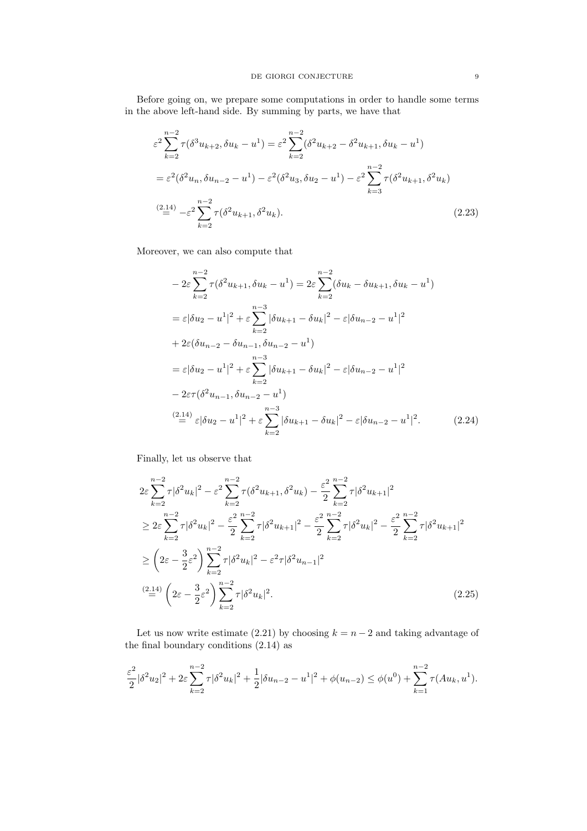Before going on, we prepare some computations in order to handle some terms in the above left-hand side. By summing by parts, we have that

$$
\varepsilon^{2} \sum_{k=2}^{n-2} \tau(\delta^{3} u_{k+2}, \delta u_{k} - u^{1}) = \varepsilon^{2} \sum_{k=2}^{n-2} (\delta^{2} u_{k+2} - \delta^{2} u_{k+1}, \delta u_{k} - u^{1})
$$
  
=  $\varepsilon^{2} (\delta^{2} u_{n}, \delta u_{n-2} - u^{1}) - \varepsilon^{2} (\delta^{2} u_{3}, \delta u_{2} - u^{1}) - \varepsilon^{2} \sum_{k=3}^{n-2} \tau(\delta^{2} u_{k+1}, \delta^{2} u_{k})$   

$$
\stackrel{(2.14)}{=} -\varepsilon^{2} \sum_{k=2}^{n-2} \tau(\delta^{2} u_{k+1}, \delta^{2} u_{k}).
$$
 (2.23)

Moreover, we can also compute that

$$
-2\varepsilon \sum_{k=2}^{n-2} \tau (\delta^2 u_{k+1}, \delta u_k - u^1) = 2\varepsilon \sum_{k=2}^{n-2} (\delta u_k - \delta u_{k+1}, \delta u_k - u^1)
$$
  
\n
$$
= \varepsilon |\delta u_2 - u^1|^2 + \varepsilon \sum_{k=2}^{n-3} |\delta u_{k+1} - \delta u_k|^2 - \varepsilon |\delta u_{n-2} - u^1|^2
$$
  
\n
$$
+ 2\varepsilon (\delta u_{n-2} - \delta u_{n-1}, \delta u_{n-2} - u^1)
$$
  
\n
$$
= \varepsilon |\delta u_2 - u^1|^2 + \varepsilon \sum_{k=2}^{n-3} |\delta u_{k+1} - \delta u_k|^2 - \varepsilon |\delta u_{n-2} - u^1|^2
$$
  
\n
$$
- 2\varepsilon \tau (\delta^2 u_{n-1}, \delta u_{n-2} - u^1)
$$
  
\n
$$
\stackrel{(2.14)}{=} \varepsilon |\delta u_2 - u^1|^2 + \varepsilon \sum_{k=2}^{n-3} |\delta u_{k+1} - \delta u_k|^2 - \varepsilon |\delta u_{n-2} - u^1|^2. \tag{2.24}
$$

Finally, let us observe that

$$
2\varepsilon \sum_{k=2}^{n-2} \tau |\delta^2 u_k|^2 - \varepsilon^2 \sum_{k=2}^{n-2} \tau (\delta^2 u_{k+1}, \delta^2 u_k) - \frac{\varepsilon^2}{2} \sum_{k=2}^{n-2} \tau |\delta^2 u_{k+1}|^2
$$
  
\n
$$
\geq 2\varepsilon \sum_{k=2}^{n-2} \tau |\delta^2 u_k|^2 - \frac{\varepsilon^2}{2} \sum_{k=2}^{n-2} \tau |\delta^2 u_{k+1}|^2 - \frac{\varepsilon^2}{2} \sum_{k=2}^{n-2} \tau |\delta^2 u_k|^2 - \frac{\varepsilon^2}{2} \sum_{k=2}^{n-2} \tau |\delta^2 u_{k+1}|^2
$$
  
\n
$$
\geq \left(2\varepsilon - \frac{3}{2}\varepsilon^2\right) \sum_{k=2}^{n-2} \tau |\delta^2 u_k|^2 - \varepsilon^2 \tau |\delta^2 u_{n-1}|^2
$$
  
\n(2.14) 
$$
\left(2\varepsilon - \frac{3}{2}\varepsilon^2\right) \sum_{k=2}^{n-2} \tau |\delta^2 u_k|^2.
$$
 (2.25)

Let us now write estimate (2.21) by choosing  $k = n - 2$  and taking advantage of the final boundary conditions  $(2.14)$  as

$$
\frac{\varepsilon^2}{2} |\delta^2 u_2|^2 + 2\varepsilon \sum_{k=2}^{n-2} \tau |\delta^2 u_k|^2 + \frac{1}{2} |\delta u_{n-2} - u^1|^2 + \phi(u_{n-2}) \leq \phi(u^0) + \sum_{k=1}^{n-2} \tau (Au_k, u^1).
$$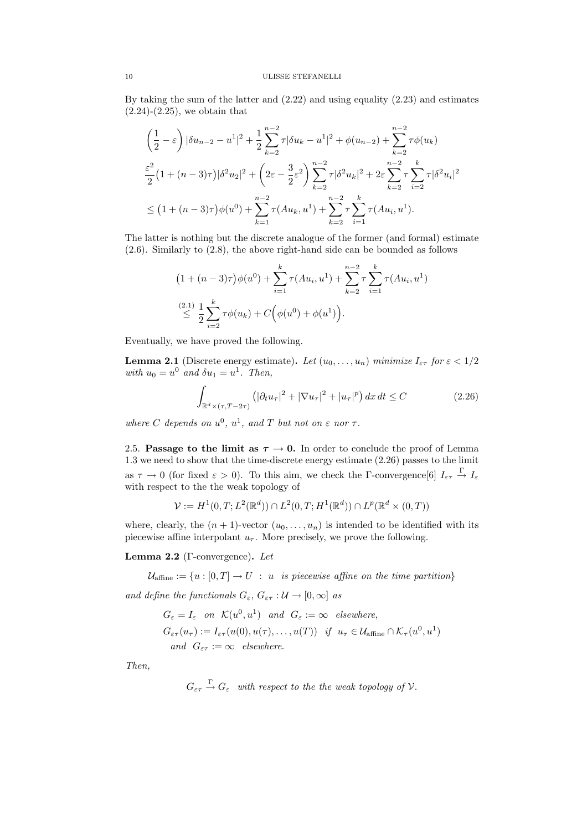By taking the sum of the latter and  $(2.22)$  and using equality  $(2.23)$  and estimates  $(2.24)$ - $(2.25)$ , we obtain that

$$
\left(\frac{1}{2} - \varepsilon\right) |\delta u_{n-2} - u^1|^2 + \frac{1}{2} \sum_{k=2}^{n-2} \tau |\delta u_k - u^1|^2 + \phi(u_{n-2}) + \sum_{k=2}^{n-2} \tau \phi(u_k)
$$
  

$$
\frac{\varepsilon^2}{2} \left(1 + (n-3)\tau\right) |\delta^2 u_2|^2 + \left(2\varepsilon - \frac{3}{2}\varepsilon^2\right) \sum_{k=2}^{n-2} \tau |\delta^2 u_k|^2 + 2\varepsilon \sum_{k=2}^{n-2} \tau \sum_{i=2}^k \tau |\delta^2 u_i|^2
$$
  

$$
\leq \left(1 + (n-3)\tau\right) \phi(u^0) + \sum_{k=1}^{n-2} \tau (Au_k, u^1) + \sum_{k=2}^{n-2} \tau \sum_{i=1}^k \tau (Au_i, u^1).
$$

The latter is nothing but the discrete analogue of the former (and formal) estimate (2.6). Similarly to (2.8), the above right-hand side can be bounded as follows

$$
(1 + (n - 3)\tau)\phi(u^0) + \sum_{i=1}^k \tau(Au_i, u^1) + \sum_{k=2}^{n-2} \tau\sum_{i=1}^k \tau(Au_i, u^1)
$$
  

$$
\stackrel{(2.1)}{\leq} \frac{1}{2} \sum_{i=2}^k \tau\phi(u_k) + C(\phi(u^0) + \phi(u^1)).
$$

Eventually, we have proved the following.

**Lemma 2.1** (Discrete energy estimate). Let  $(u_0, \ldots, u_n)$  minimize  $I_{\varepsilon\tau}$  for  $\varepsilon < 1/2$ with  $u_0 = u^0$  and  $\delta u_1 = u^1$ . Then,

$$
\int_{\mathbb{R}^d \times (\tau, T - 2\tau)} \left( |\partial_t u_\tau|^2 + |\nabla u_\tau|^2 + |u_\tau|^p \right) dx dt \le C \tag{2.26}
$$

where C depends on  $u^0$ ,  $u^1$ , and T but not on  $\varepsilon$  nor  $\tau$ .

2.5. Passage to the limit as  $\tau \rightarrow 0$ . In order to conclude the proof of Lemma 1.3 we need to show that the time-discrete energy estimate (2.26) passes to the limit as  $\tau \to 0$  (for fixed  $\varepsilon > 0$ ). To this aim, we check the Γ-convergence [6]  $I_{\varepsilon \tau} \stackrel{\Gamma}{\to} I_{\varepsilon}$ with respect to the the weak topology of

$$
\mathcal{V} := H^1(0,T;L^2(\mathbb{R}^d)) \cap L^2(0,T;H^1(\mathbb{R}^d)) \cap L^p(\mathbb{R}^d \times (0,T))
$$

where, clearly, the  $(n + 1)$ -vector  $(u_0, \ldots, u_n)$  is intended to be identified with its piecewise affine interpolant  $u_{\tau}$ . More precisely, we prove the following.

Lemma 2.2 (Γ-convergence). Let

 $\mathcal{U}_{\text{affine}} := \{u : [0,T] \to U : u \text{ is piecewise affine on the time partition}\}\$ 

and define the functionals  $G_{\varepsilon}, G_{\varepsilon \tau} : \mathcal{U} \to [0, \infty]$  as

$$
G_{\varepsilon} = I_{\varepsilon} \quad on \quad \mathcal{K}(u^0, u^1) \quad and \quad G_{\varepsilon} := \infty \quad elsewhere,
$$
  
\n
$$
G_{\varepsilon\tau}(u_{\tau}) := I_{\varepsilon\tau}(u(0), u(\tau), \dots, u(T)) \quad if \quad u_{\tau} \in \mathcal{U}_{\text{affine}} \cap \mathcal{K}_{\tau}(u^0, u^1)
$$
  
\nand  $G_{\varepsilon\tau} := \infty$  elsewhere.

Then,

$$
G_{\varepsilon\tau} \xrightarrow{\Gamma} G_{\varepsilon}
$$
 with respect to the the weak topology of V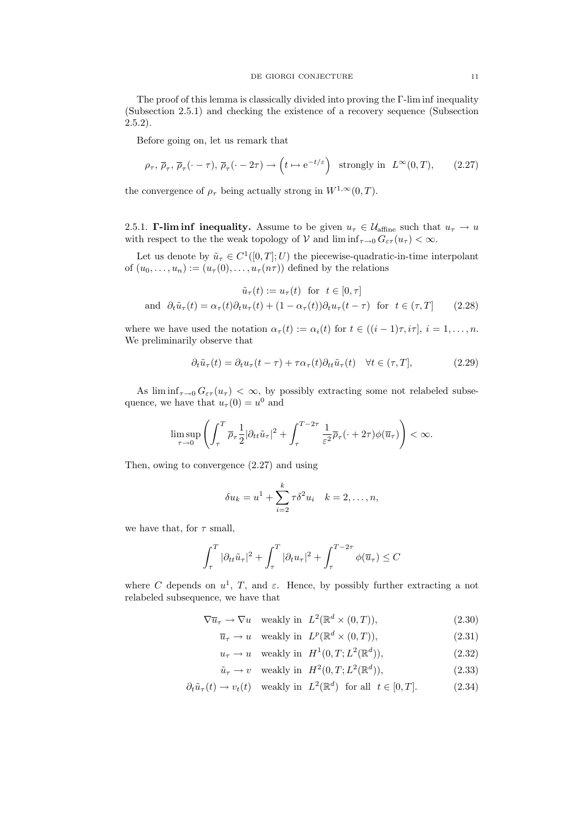The proof of this lemma is classically divided into proving the Γ-liminf inequality (Subsection 2.5.1) and checking the existence of a recovery sequence (Subsection 2.5.2).

Before going on, let us remark that

$$
\rho_{\tau}, \overline{\rho}_{\tau}, \overline{\rho}_{\tau}(\cdot - \tau), \overline{\rho}_{\tau}(\cdot - 2\tau) \to \left(t \mapsto e^{-t/\varepsilon}\right) \text{ strongly in } L^{\infty}(0, T), \qquad (2.27)
$$

the convergence of  $\rho_{\tau}$  being actually strong in  $W^{1,\infty}(0,T)$ .

2.5.1. **Γ-lim inf inequality.** Assume to be given  $u_{\tau} \in \mathcal{U}_{\text{affine}}$  such that  $u_{\tau} \to u$ with respect to the the weak topology of V and  $\liminf_{\tau \to 0} G_{\varepsilon \tau}(u_\tau) < \infty$ .

Let us denote by  $\tilde{u}_{\tau} \in C^{1}([0, T]; U)$  the piecewise-quadratic-in-time interpolant of  $(u_0, \ldots, u_n) := (u_\tau(0), \ldots, u_\tau(n\tau))$  defined by the relations

$$
\tilde{u}_{\tau}(t) := u_{\tau}(t) \quad \text{for} \quad t \in [0, \tau]
$$
\n
$$
\text{and} \quad \partial_t \tilde{u}_{\tau}(t) = \alpha_{\tau}(t) \partial_t u_{\tau}(t) + (1 - \alpha_{\tau}(t)) \partial_t u_{\tau}(t - \tau) \quad \text{for} \quad t \in (\tau, T] \tag{2.28}
$$

where we have used the notation  $\alpha_{\tau}(t) := \alpha_i(t)$  for  $t \in ((i-1)\tau, i\tau], i = 1, \ldots, n$ . We preliminarily observe that

$$
\partial_t \tilde{u}_\tau(t) = \partial_t u_\tau(t - \tau) + \tau \alpha_\tau(t) \partial_{tt} \tilde{u}_\tau(t) \quad \forall t \in (\tau, T], \tag{2.29}
$$

As  $\liminf_{\tau \to 0} G_{\varepsilon \tau}(u_{\tau}) < \infty$ , by possibly extracting some not relabeled subsequence, we have that  $u_{\tau}(0) = u^0$  and

$$
\limsup_{\tau \to 0} \left( \int_{\tau}^{T} \overline{\rho}_{\tau} \frac{1}{2} |\partial_{tt} \tilde{u}_{\tau}|^{2} + \int_{\tau}^{T-2\tau} \frac{1}{\varepsilon^{2}} \overline{\rho}_{\tau} (\cdot + 2\tau) \phi(\overline{u}_{\tau}) \right) < \infty.
$$

Then, owing to convergence (2.27) and using

$$
\delta u_k = u^1 + \sum_{i=2}^k \tau \delta^2 u_i \quad k = 2, \dots, n,
$$

we have that, for  $\tau$  small,

$$
\int_{\tau}^{T} |\partial_{tt} \tilde{u}_{\tau}|^2 + \int_{\tau}^{T} |\partial_t u_{\tau}|^2 + \int_{\tau}^{T-2\tau} \phi(\overline{u}_{\tau}) \leq C
$$

where C depends on  $u^1$ , T, and  $\varepsilon$ . Hence, by possibly further extracting a not relabeled subsequence, we have that

$$
\nabla \overline{u}_{\tau} \to \nabla u \quad \text{weakly in} \quad L^2(\mathbb{R}^d \times (0, T)), \tag{2.30}
$$

$$
\overline{u}_{\tau} \to u \quad \text{weakly in} \quad L^p(\mathbb{R}^d \times (0,T)), \tag{2.31}
$$

$$
u_{\tau} \to u \quad \text{weakly in} \quad H^1(0, T; L^2(\mathbb{R}^d)),\tag{2.32}
$$

$$
\tilde{u}_{\tau} \to v \quad \text{weakly in} \quad H^2(0, T; L^2(\mathbb{R}^d)),\tag{2.33}
$$

$$
\partial_t \tilde{u}_\tau(t) \to v_t(t) \quad \text{weakly in} \quad L^2(\mathbb{R}^d) \quad \text{for all} \quad t \in [0, T]. \tag{2.34}
$$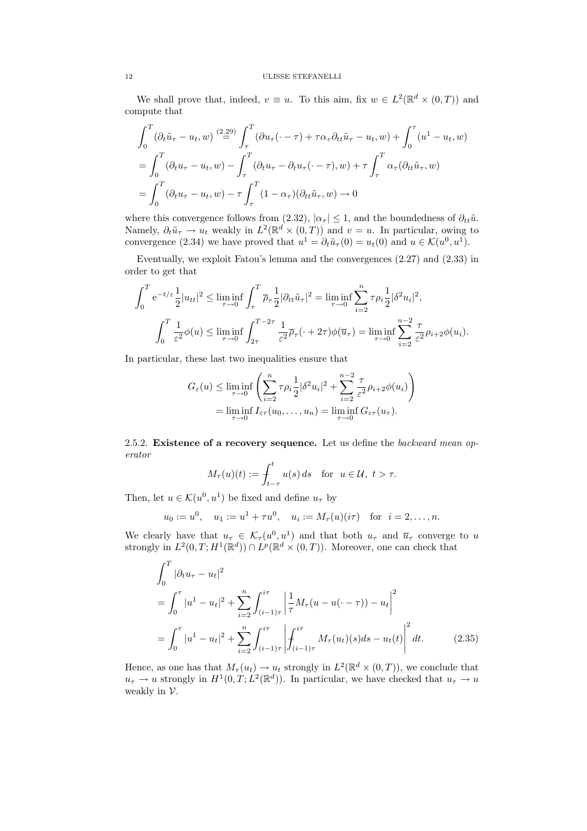We shall prove that, indeed,  $v \equiv u$ . To this aim, fix  $w \in L^2(\mathbb{R}^d \times (0,T))$  and compute that

$$
\int_0^T (\partial_t \tilde{u}_\tau - u_t, w) \stackrel{(2.29)}{=} \int_\tau^T (\partial u_\tau (\cdot - \tau) + \tau \alpha_\tau \partial_{tt} \tilde{u}_\tau - u_t, w) + \int_0^\tau (u^1 - u_t, w) \n= \int_0^T (\partial_t u_\tau - u_t, w) - \int_\tau^T (\partial_t u_\tau - \partial_t u_\tau (\cdot - \tau), w) + \tau \int_\tau^T \alpha_\tau (\partial_{tt} \tilde{u}_\tau, w) \n= \int_0^T (\partial_t u_\tau - u_t, w) - \tau \int_\tau^T (1 - \alpha_\tau) (\partial_{tt} \tilde{u}_\tau, w) \to 0
$$

where this convergence follows from (2.32),  $|\alpha_\tau| \leq 1$ , and the boundedness of  $\partial_{tt} \tilde{u}$ . Namely,  $\partial_t \tilde{u}_\tau \to u_t$  weakly in  $L^2(\mathbb{R}^d \times (0,T))$  and  $v = u$ . In particular, owing to convergence (2.34) we have proved that  $u^1 = \partial_t \tilde{u}_\tau(0) = u_t(0)$  and  $u \in \mathcal{K}(u^0, u^1)$ .

Eventually, we exploit Fatou's lemma and the convergences (2.27) and (2.33) in order to get that

$$
\int_0^T e^{-t/\varepsilon} \frac{1}{2} |u_{tt}|^2 \le \liminf_{\tau \to 0} \int_\tau^T \overline{\rho}_\tau \frac{1}{2} |\partial_{tt} \tilde{u}_\tau|^2 = \liminf_{\tau \to 0} \sum_{i=2}^n \tau \rho_i \frac{1}{2} |\delta^2 u_i|^2,
$$
  

$$
\int_0^T \frac{1}{\varepsilon^2} \phi(u) \le \liminf_{\tau \to 0} \int_{2\tau}^{T-2\tau} \frac{1}{\varepsilon^2} \overline{\rho}_\tau(\cdot + 2\tau) \phi(\overline{u}_\tau) = \liminf_{\tau \to 0} \sum_{i=2}^{n-2} \frac{\tau}{\varepsilon^2} \rho_{i+2} \phi(u_i).
$$

In particular, these last two inequalities ensure that

$$
G_{\varepsilon}(u) \le \liminf_{\tau \to 0} \left( \sum_{i=2}^{n} \tau \rho_i \frac{1}{2} |\delta^2 u_i|^2 + \sum_{i=2}^{n-2} \frac{\tau}{\varepsilon^2} \rho_{i+2} \phi(u_i) \right)
$$
  
= 
$$
\liminf_{\tau \to 0} I_{\varepsilon \tau}(u_0, \dots, u_n) = \liminf_{\tau \to 0} G_{\varepsilon \tau}(u_{\tau}).
$$

2.5.2. Existence of a recovery sequence. Let us define the backward mean operator

$$
M_{\tau}(u)(t) := \int_{t-\tau}^{t} u(s) \, ds \quad \text{for} \ \ u \in \mathcal{U}, \ t > \tau.
$$

Then, let  $u \in \mathcal{K}(u^0, u^1)$  be fixed and define  $u_{\tau}$  by

$$
u_0 := u^0
$$
,  $u_1 := u^1 + \tau u^0$ ,  $u_i := M_\tau(u)(i\tau)$  for  $i = 2, ..., n$ .

We clearly have that  $u_{\tau} \in \mathcal{K}_{\tau}(u^0, u^1)$  and that both  $u_{\tau}$  and  $\overline{u}_{\tau}$  converge to u strongly in  $L^2(0,T;H^1(\mathbb{R}^d)) \cap L^p(\mathbb{R}^d \times (0,T))$ . Moreover, one can check that

$$
\int_0^T |\partial_t u_\tau - u_t|^2
$$
  
= 
$$
\int_0^T |u^1 - u_t|^2 + \sum_{i=2}^n \int_{(i-1)\tau}^{i\tau} \left| \frac{1}{\tau} M_\tau (u - u(\cdot - \tau)) - u_t \right|^2
$$
  
= 
$$
\int_0^T |u^1 - u_t|^2 + \sum_{i=2}^n \int_{(i-1)\tau}^{i\tau} \left| \int_{(i-1)\tau}^{i\tau} M_\tau (u_t)(s) ds - u_t(t) \right|^2 dt.
$$
 (2.35)

Hence, as one has that  $M_{\tau}(u_t) \to u_t$  strongly in  $L^2(\mathbb{R}^d \times (0,T))$ , we conclude that  $u_{\tau} \to u$  strongly in  $H^1(0,T; L^2(\mathbb{R}^d))$ . In particular, we have checked that  $u_{\tau} \to u$ weakly in  $\mathcal V$ .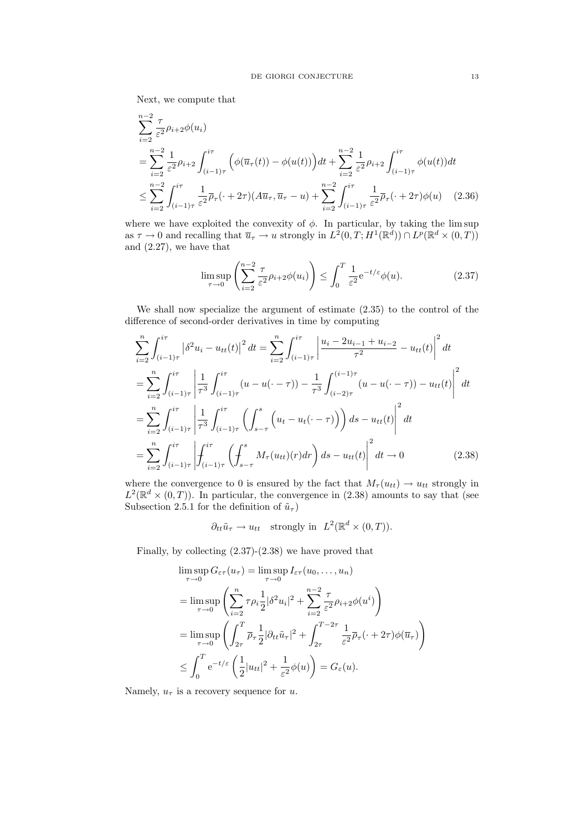Next, we compute that

$$
\sum_{i=2}^{n-2} \frac{\tau}{\varepsilon^2} \rho_{i+2} \phi(u_i)
$$
\n
$$
= \sum_{i=2}^{n-2} \frac{1}{\varepsilon^2} \rho_{i+2} \int_{(i-1)\tau}^{i\tau} \left( \phi(\overline{u}_{\tau}(t)) - \phi(u(t)) \right) dt + \sum_{i=2}^{n-2} \frac{1}{\varepsilon^2} \rho_{i+2} \int_{(i-1)\tau}^{i\tau} \phi(u(t)) dt
$$
\n
$$
\leq \sum_{i=2}^{n-2} \int_{(i-1)\tau}^{i\tau} \frac{1}{\varepsilon^2} \overline{\rho}_{\tau}(\cdot + 2\tau) (A\overline{u}_{\tau}, \overline{u}_{\tau} - u) + \sum_{i=2}^{n-2} \int_{(i-1)\tau}^{i\tau} \frac{1}{\varepsilon^2} \overline{\rho}_{\tau}(\cdot + 2\tau) \phi(u) \quad (2.36)
$$

where we have exploited the convexity of  $\phi$ . In particular, by taking the limsup as  $\tau \to 0$  and recalling that  $\overline{u}_{\tau} \to u$  strongly in  $L^2(0,T;H^1(\mathbb{R}^d)) \cap L^p(\mathbb{R}^d \times (0,T))$ and (2.27), we have that

$$
\limsup_{\tau \to 0} \left( \sum_{i=2}^{n-2} \frac{\tau}{\varepsilon^2} \rho_{i+2} \phi(u_i) \right) \le \int_0^T \frac{1}{\varepsilon^2} e^{-t/\varepsilon} \phi(u). \tag{2.37}
$$

We shall now specialize the argument of estimate (2.35) to the control of the difference of second-order derivatives in time by computing

$$
\sum_{i=2}^{n} \int_{(i-1)\tau}^{i\tau} \left| \delta^2 u_i - u_{tt}(t) \right|^2 dt = \sum_{i=2}^{n} \int_{(i-1)\tau}^{i\tau} \left| \frac{u_i - 2u_{i-1} + u_{i-2}}{\tau^2} - u_{tt}(t) \right|^2 dt
$$
  
\n
$$
= \sum_{i=2}^{n} \int_{(i-1)\tau}^{i\tau} \left| \frac{1}{\tau^3} \int_{(i-1)\tau}^{i\tau} (u - u(\cdot - \tau)) - \frac{1}{\tau^3} \int_{(i-2)\tau}^{(i-1)\tau} (u - u(\cdot - \tau)) - u_{tt}(t) \right|^2 dt
$$
  
\n
$$
= \sum_{i=2}^{n} \int_{(i-1)\tau}^{i\tau} \left| \frac{1}{\tau^3} \int_{(i-1)\tau}^{i\tau} \left( \int_{s-\tau}^s (u_t - u_t(\cdot - \tau)) \right) ds - u_{tt}(t) \right|^2 dt
$$
  
\n
$$
= \sum_{i=2}^{n} \int_{(i-1)\tau}^{i\tau} \left| \int_{(i-1)\tau}^{i\tau} \left( \int_{s-\tau}^s M_\tau(u_{tt})(r) dr \right) ds - u_{tt}(t) \right|^2 dt \to 0
$$
 (2.38)

where the convergence to 0 is ensured by the fact that  $M_{\tau}(u_{tt}) \rightarrow u_{tt}$  strongly in  $L^2(\mathbb{R}^d \times (0,T))$ . In particular, the convergence in (2.38) amounts to say that (see Subsection 2.5.1 for the definition of  $\tilde{u}_{\tau}$ )

$$
\partial_{tt}\tilde{u}_{\tau} \to u_{tt}
$$
 strongly in  $L^2(\mathbb{R}^d \times (0,T)).$ 

Finally, by collecting (2.37)-(2.38) we have proved that

$$
\limsup_{\tau \to 0} G_{\varepsilon\tau}(u_{\tau}) = \limsup_{\tau \to 0} I_{\varepsilon\tau}(u_0, \dots, u_n)
$$
\n
$$
= \limsup_{\tau \to 0} \left( \sum_{i=2}^n \tau \rho_i \frac{1}{2} |\delta^2 u_i|^2 + \sum_{i=2}^{n-2} \frac{\tau}{\varepsilon^2} \rho_{i+2} \phi(u^i) \right)
$$
\n
$$
= \limsup_{\tau \to 0} \left( \int_{2\tau}^T \overline{\rho}_{\tau} \frac{1}{2} |\partial_{tt} \tilde{u}_{\tau}|^2 + \int_{2\tau}^{T-2\tau} \frac{1}{\varepsilon^2} \overline{\rho}_{\tau}(\cdot + 2\tau) \phi(\overline{u}_{\tau}) \right)
$$
\n
$$
\leq \int_0^T e^{-t/\varepsilon} \left( \frac{1}{2} |u_{tt}|^2 + \frac{1}{\varepsilon^2} \phi(u) \right) = G_{\varepsilon}(u).
$$

Namely,  $u_{\tau}$  is a recovery sequence for u.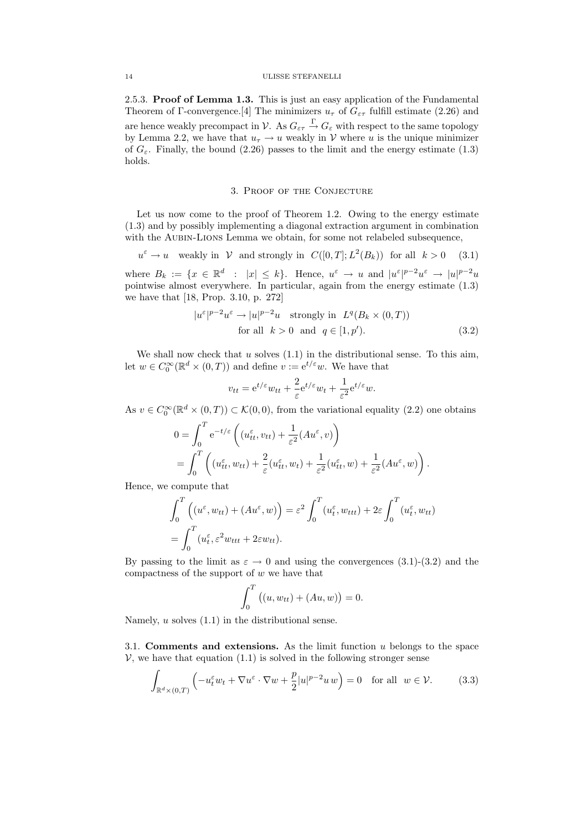#### 14 ULISSE STEFANELLI

2.5.3. Proof of Lemma 1.3. This is just an easy application of the Fundamental Theorem of Γ-convergence. [4] The minimizers  $u_{\tau}$  of  $G_{\varepsilon_{\tau}}$  fulfill estimate (2.26) and are hence weakly precompact in  $\mathcal V$ . As  $G_{\varepsilon\tau} \stackrel{\Gamma}{\to} G_{\varepsilon}$  with respect to the same topology by Lemma 2.2, we have that  $u_{\tau} \to u$  weakly in  $\check{\mathcal{V}}$  where u is the unique minimizer of  $G_{\varepsilon}$ . Finally, the bound (2.26) passes to the limit and the energy estimate (1.3) holds.

## 3. Proof of the Conjecture

Let us now come to the proof of Theorem 1.2. Owing to the energy estimate (1.3) and by possibly implementing a diagonal extraction argument in combination with the AUBIN-LIONS Lemma we obtain, for some not relabeled subsequence,

 $u^{\varepsilon} \to u$  weakly in  $V$  and strongly in  $C([0,T]; L^2(B_k))$  for all  $k > 0$  (3.1) where  $B_k := \{x \in \mathbb{R}^d : |x| \leq k\}$ . Hence,  $u^{\varepsilon} \to u$  and  $|u^{\varepsilon}|^{p-2}u^{\varepsilon} \to |u|^{p-2}u$ pointwise almost everywhere. In particular, again from the energy estimate (1.3) we have that [18, Prop. 3.10, p. 272]

$$
|u^{\varepsilon}|^{p-2}u^{\varepsilon} \to |u|^{p-2}u \quad \text{strongly in} \quad L^{q}(B_{k} \times (0,T))
$$
  
for all  $k > 0$  and  $q \in [1, p').$  (3.2)

We shall now check that  $u$  solves  $(1.1)$  in the distributional sense. To this aim, let  $w \in C_0^{\infty}(\mathbb{R}^d \times (0,T))$  and define  $v := e^{t/\varepsilon}w$ . We have that

$$
v_{tt} = e^{t/\varepsilon} w_{tt} + \frac{2}{\varepsilon} e^{t/\varepsilon} w_t + \frac{1}{\varepsilon^2} e^{t/\varepsilon} w.
$$

As  $v \in C_0^{\infty}(\mathbb{R}^d \times (0,T)) \subset \mathcal{K}(0,0)$ , from the variational equality  $(2.2)$  one obtains

$$
0 = \int_0^T e^{-t/\varepsilon} \left( (u_{tt}^{\varepsilon}, v_{tt}) + \frac{1}{\varepsilon^2} (Au^{\varepsilon}, v) \right)
$$
  
= 
$$
\int_0^T \left( (u_{tt}^{\varepsilon}, w_{tt}) + \frac{2}{\varepsilon} (u_{tt}^{\varepsilon}, w_t) + \frac{1}{\varepsilon^2} (u_{tt}^{\varepsilon}, w) + \frac{1}{\varepsilon^2} (Au^{\varepsilon}, w) \right).
$$

Hence, we compute that

$$
\int_0^T \left( (u^\varepsilon, w_{tt}) + (Au^\varepsilon, w) \right) = \varepsilon^2 \int_0^T (u_t^\varepsilon, w_{ttt}) + 2\varepsilon \int_0^T (u_t^\varepsilon, w_{tt})
$$

$$
= \int_0^T (u_t^\varepsilon, \varepsilon^2 w_{ttt} + 2\varepsilon w_{tt}).
$$

By passing to the limit as  $\varepsilon \to 0$  and using the convergences (3.1)-(3.2) and the compactness of the support of  $w$  we have that

$$
\int_0^T ((u, w_{tt}) + (Au, w)) = 0.
$$

Namely,  $u$  solves  $(1.1)$  in the distributional sense.

 $\cdot$ 

3.1. Comments and extensions. As the limit function  $u$  belongs to the space  $V$ , we have that equation  $(1.1)$  is solved in the following stronger sense

$$
\int_{\mathbb{R}^d \times (0,T)} \left( -u_t^\varepsilon w_t + \nabla u^\varepsilon \cdot \nabla w + \frac{p}{2} |u|^{p-2} u \, w \right) = 0 \quad \text{for all} \ \ w \in \mathcal{V}.
$$
 (3.3)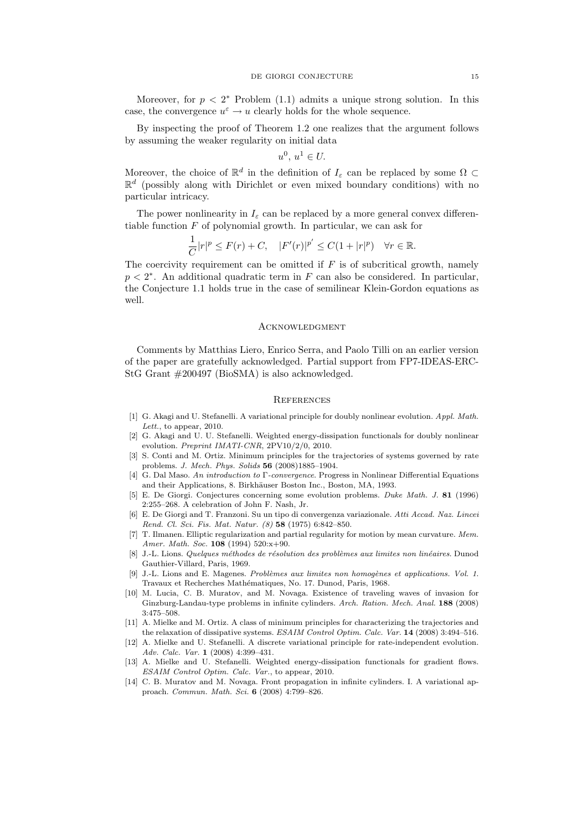Moreover, for  $p < 2^*$  Problem (1.1) admits a unique strong solution. In this case, the convergence  $u^{\varepsilon} \to u$  clearly holds for the whole sequence.

By inspecting the proof of Theorem 1.2 one realizes that the argument follows by assuming the weaker regularity on initial data

$$
u^0, u^1 \in U.
$$

Moreover, the choice of  $\mathbb{R}^d$  in the definition of  $I_\varepsilon$  can be replaced by some  $\Omega \subset$  $\mathbb{R}^d$  (possibly along with Dirichlet or even mixed boundary conditions) with no particular intricacy.

The power nonlinearity in  $I<sub>\varepsilon</sub>$  can be replaced by a more general convex differentiable function  $F$  of polynomial growth. In particular, we can ask for

$$
\frac{1}{C}|r|^p \leq F(r) + C, \quad |F'(r)|^{p'} \leq C(1+|r|^p) \quad \forall r \in \mathbb{R}.
$$

The coercivity requirement can be omitted if  $F$  is of subcritical growth, namely  $p < 2^*$ . An additional quadratic term in F can also be considered. In particular, the Conjecture 1.1 holds true in the case of semilinear Klein-Gordon equations as well.

#### **ACKNOWLEDGMENT**

Comments by Matthias Liero, Enrico Serra, and Paolo Tilli on an earlier version of the paper are gratefully acknowledged. Partial support from FP7-IDEAS-ERC-StG Grant #200497 (BioSMA) is also acknowledged.

#### **REFERENCES**

- [1] G. Akagi and U. Stefanelli. A variational principle for doubly nonlinear evolution. Appl. Math. Lett., to appear, 2010.
- [2] G. Akagi and U. U. Stefanelli. Weighted energy-dissipation functionals for doubly nonlinear evolution. Preprint IMATI-CNR, 2PV10/2/0, 2010.
- [3] S. Conti and M. Ortiz. Minimum principles for the trajectories of systems governed by rate problems. J. Mech. Phys. Solids 56 (2008)1885–1904.
- [4] G. Dal Maso. An introduction to Γ-convergence. Progress in Nonlinear Differential Equations and their Applications, 8. Birkhäuser Boston Inc., Boston, MA, 1993.
- [5] E. De Giorgi. Conjectures concerning some evolution problems. Duke Math. J. 81 (1996) 2:255–268. A celebration of John F. Nash, Jr.
- [6] E. De Giorgi and T. Franzoni. Su un tipo di convergenza variazionale. Atti Accad. Naz. Lincei Rend. Cl. Sci. Fis. Mat. Natur. (8) 58 (1975) 6:842–850.
- [7] T. Ilmanen. Elliptic regularization and partial regularity for motion by mean curvature. Mem. Amer. Math. Soc. 108 (1994) 520:x+90.
- [8] J.-L. Lions. Quelques méthodes de résolution des problèmes aux limites non linéaires. Dunod Gauthier-Villard, Paris, 1969.
- [9] J.-L. Lions and E. Magenes. Problèmes aux limites non homogènes et applications. Vol. 1. Travaux et Recherches Mathématiques, No. 17. Dunod, Paris, 1968.
- [10] M. Lucia, C. B. Muratov, and M. Novaga. Existence of traveling waves of invasion for Ginzburg-Landau-type problems in infinite cylinders. Arch. Ration. Mech. Anal. 188 (2008) 3:475–508.
- [11] A. Mielke and M. Ortiz. A class of minimum principles for characterizing the trajectories and the relaxation of dissipative systems. ESAIM Control Optim. Calc. Var. 14 (2008) 3:494–516.
- [12] A. Mielke and U. Stefanelli. A discrete variational principle for rate-independent evolution. Adv. Calc. Var. 1 (2008) 4:399–431.
- [13] A. Mielke and U. Stefanelli. Weighted energy-dissipation functionals for gradient flows. ESAIM Control Optim. Calc. Var., to appear, 2010.
- [14] C. B. Muratov and M. Novaga. Front propagation in infinite cylinders. I. A variational approach. Commun. Math. Sci. 6 (2008) 4:799–826.